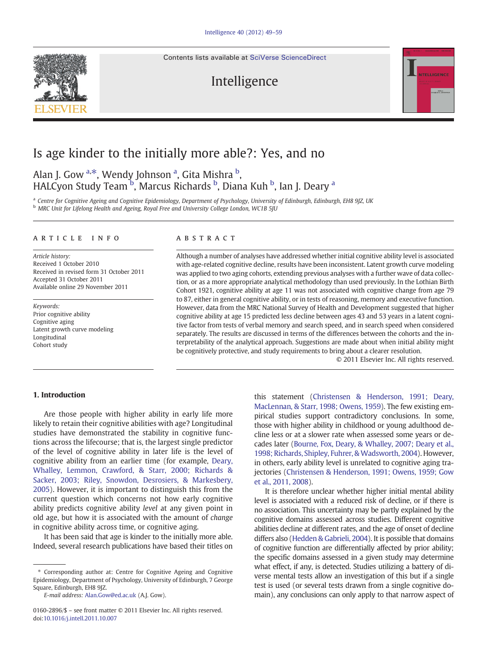Contents lists available at [SciVerse ScienceDirect](http://www.sciencedirect.com/science/journal/01602896)

# Intelligence



# Is age kinder to the initially more able?: Yes, and no

Alan J. Gow <sup>a,\*</sup>, Wendy Johnson <sup>a</sup>, Gita Mishra <sup>b</sup>, HALCyon Study Team <sup>b</sup>, Marcus Richards <sup>b</sup>, Diana Kuh <sup>b</sup>, Ian J. Deary <sup>a</sup>

<sup>a</sup> Centre for Cognitive Ageing and Cognitive Epidemiology, Department of Psychology, University of Edinburgh, Edinburgh, EH8 9JZ, UK <sup>b</sup> MRC Unit for Lifelong Health and Ageing, Royal Free and University College London, WC1B 5JU

#### article info abstract

Article history: Received 1 October 2010 Received in revised form 31 October 2011 Accepted 31 October 2011 Available online 29 November 2011

Keywords: Prior cognitive ability Cognitive aging Latent growth curve modeling Longitudinal Cohort study

Although a number of analyses have addressed whether initial cognitive ability level is associated with age-related cognitive decline, results have been inconsistent. Latent growth curve modeling was applied to two aging cohorts, extending previous analyses with a further wave of data collection, or as a more appropriate analytical methodology than used previously. In the Lothian Birth Cohort 1921, cognitive ability at age 11 was not associated with cognitive change from age 79 to 87, either in general cognitive ability, or in tests of reasoning, memory and executive function. However, data from the MRC National Survey of Health and Development suggested that higher cognitive ability at age 15 predicted less decline between ages 43 and 53 years in a latent cognitive factor from tests of verbal memory and search speed, and in search speed when considered separately. The results are discussed in terms of the differences between the cohorts and the interpretability of the analytical approach. Suggestions are made about when initial ability might be cognitively protective, and study requirements to bring about a clearer resolution.

© 2011 Elsevier Inc. All rights reserved.

# 1. Introduction

Are those people with higher ability in early life more likely to retain their cognitive abilities with age? Longitudinal studies have demonstrated the stability in cognitive functions across the lifecourse; that is, the largest single predictor of the level of cognitive ability in later life is the level of cognitive ability from an earlier time (for example, [Deary,](#page-9-0) [Whalley, Lemmon, Crawford, & Starr, 2000; Richards &](#page-9-0) [Sacker, 2003; Riley, Snowdon, Desrosiers, & Markesbery,](#page-9-0) [2005](#page-9-0)). However, it is important to distinguish this from the current question which concerns not how early cognitive ability predicts cognitive ability level at any given point in old age, but how it is associated with the amount of change in cognitive ability across time, or cognitive aging.

It has been said that age is kinder to the initially more able. Indeed, several research publications have based their titles on this statement [\(Christensen & Henderson, 1991; Deary,](#page-9-0) [MacLennan, & Starr, 1998; Owens, 1959](#page-9-0)). The few existing empirical studies support contradictory conclusions. In some, those with higher ability in childhood or young adulthood decline less or at a slower rate when assessed some years or decades later ([Bourne, Fox, Deary, & Whalley, 2007; Deary et al.,](#page-9-0) [1998; Richards, Shipley, Fuhrer, & Wadsworth, 2004\)](#page-9-0). However, in others, early ability level is unrelated to cognitive aging trajectories ([Christensen & Henderson, 1991; Owens, 1959; Gow](#page-9-0) [et al., 2011, 2008\)](#page-9-0).

It is therefore unclear whether higher initial mental ability level is associated with a reduced risk of decline, or if there is no association. This uncertainty may be partly explained by the cognitive domains assessed across studies. Different cognitive abilities decline at different rates, and the age of onset of decline differs also [\(Hedden & Gabrieli, 2004\)](#page-10-0). It is possible that domains of cognitive function are differentially affected by prior ability; the specific domains assessed in a given study may determine what effect, if any, is detected. Studies utilizing a battery of diverse mental tests allow an investigation of this but if a single test is used (or several tests drawn from a single cognitive domain), any conclusions can only apply to that narrow aspect of

<sup>⁎</sup> Corresponding author at: Centre for Cognitive Ageing and Cognitive Epidemiology, Department of Psychology, University of Edinburgh, 7 George Square, Edinburgh, EH8 9JZ.

E-mail address: [Alan.Gow@ed.ac.uk](mailto:Alan.Gow@ed.ac.uk) (A.J. Gow).

<sup>0160-2896/\$</sup> – see front matter © 2011 Elsevier Inc. All rights reserved. doi[:10.1016/j.intell.2011.10.007](http://dx.doi.org/10.1016/j.intell.2011.10.007)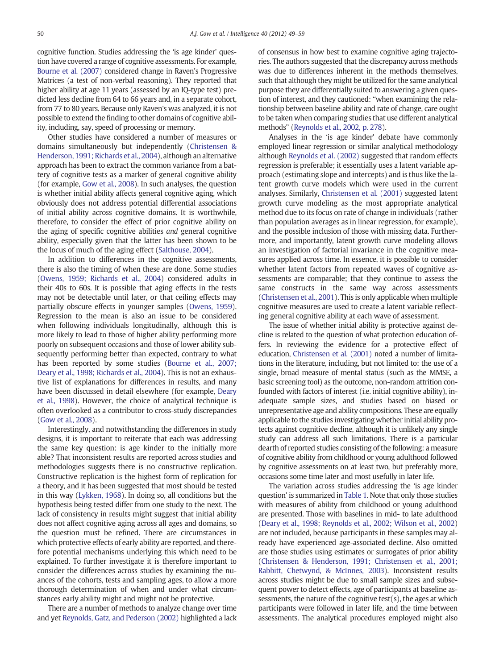cognitive function. Studies addressing the 'is age kinder' question have covered a range of cognitive assessments. For example, [Bourne et al. \(2007\)](#page-9-0) considered change in Raven's Progressive Matrices (a test of non-verbal reasoning). They reported that higher ability at age 11 years (assessed by an IQ-type test) predicted less decline from 64 to 66 years and, in a separate cohort, from 77 to 80 years. Because only Raven's was analyzed, it is not possible to extend the finding to other domains of cognitive ability, including, say, speed of processing or memory.

Other studies have considered a number of measures or domains simultaneously but independently ([Christensen &](#page-9-0) [Henderson, 1991; Richards et al., 2004](#page-9-0)), although an alternative approach has been to extract the common variance from a battery of cognitive tests as a marker of general cognitive ability (for example, [Gow et al., 2008\)](#page-10-0). In such analyses, the question is whether initial ability affects general cognitive aging, which obviously does not address potential differential associations of initial ability across cognitive domains. It is worthwhile, therefore, to consider the effect of prior cognitive ability on the aging of specific cognitive abilities and general cognitive ability, especially given that the latter has been shown to be the locus of much of the aging effect ([Salthouse, 2004\)](#page-10-0).

In addition to differences in the cognitive assessments, there is also the timing of when these are done. Some studies ([Owens, 1959; Richards et al., 2004](#page-10-0)) considered adults in their 40s to 60s. It is possible that aging effects in the tests may not be detectable until later, or that ceiling effects may partially obscure effects in younger samples ([Owens, 1959](#page-10-0)). Regression to the mean is also an issue to be considered when following individuals longitudinally, although this is more likely to lead to those of higher ability performing more poorly on subsequent occasions and those of lower ability subsequently performing better than expected, contrary to what has been reported by some studies ([Bourne et al., 2007;](#page-9-0) [Deary et al., 1998; Richards et al., 2004](#page-9-0)). This is not an exhaustive list of explanations for differences in results, and many have been discussed in detail elsewhere (for example, [Deary](#page-9-0) [et al., 1998\)](#page-9-0). However, the choice of analytical technique is often overlooked as a contributor to cross-study discrepancies ([Gow et al., 2008](#page-10-0)).

Interestingly, and notwithstanding the differences in study designs, it is important to reiterate that each was addressing the same key question: is age kinder to the initially more able? That inconsistent results are reported across studies and methodologies suggests there is no constructive replication. Constructive replication is the highest form of replication for a theory, and it has been suggested that most should be tested in this way [\(Lykken, 1968](#page-10-0)). In doing so, all conditions but the hypothesis being tested differ from one study to the next. The lack of consistency in results might suggest that initial ability does not affect cognitive aging across all ages and domains, so the question must be refined. There are circumstances in which protective effects of early ability are reported, and therefore potential mechanisms underlying this which need to be explained. To further investigate it is therefore important to consider the differences across studies by examining the nuances of the cohorts, tests and sampling ages, to allow a more thorough determination of when and under what circumstances early ability might and might not be protective.

There are a number of methods to analyze change over time and yet [Reynolds, Gatz, and Pederson \(2002\)](#page-10-0) highlighted a lack of consensus in how best to examine cognitive aging trajectories. The authors suggested that the discrepancy across methods was due to differences inherent in the methods themselves, such that although they might be utilized for the same analytical purpose they are differentially suited to answering a given question of interest, and they cautioned: "when examining the relationship between baseline ability and rate of change, care ought to be taken when comparing studies that use different analytical methods" ([Reynolds et al., 2002, p. 278](#page-10-0)).

Analyses in the 'is age kinder' debate have commonly employed linear regression or similar analytical methodology although [Reynolds et al. \(2002\)](#page-10-0) suggested that random effects regression is preferable; it essentially uses a latent variable approach (estimating slope and intercepts) and is thus like the latent growth curve models which were used in the current analyses. Similarly, [Christensen et al. \(2001\)](#page-9-0) suggested latent growth curve modeling as the most appropriate analytical method due to its focus on rate of change in individuals (rather than population averages as in linear regression, for example), and the possible inclusion of those with missing data. Furthermore, and importantly, latent growth curve modeling allows an investigation of factorial invariance in the cognitive measures applied across time. In essence, it is possible to consider whether latent factors from repeated waves of cognitive assessments are comparable; that they continue to assess the same constructs in the same way across assessments ([Christensen et al., 2001\)](#page-9-0). This is only applicable when multiple cognitive measures are used to create a latent variable reflecting general cognitive ability at each wave of assessment.

The issue of whether initial ability is protective against decline is related to the question of what protection education offers. In reviewing the evidence for a protective effect of education, [Christensen et al. \(2001\)](#page-9-0) noted a number of limitations in the literature, including, but not limited to: the use of a single, broad measure of mental status (such as the MMSE, a basic screening tool) as the outcome, non-random attrition confounded with factors of interest (i.e. initial cognitive ability), inadequate sample sizes, and studies based on biased or unrepresentative age and ability compositions. These are equally applicable to the studies investigating whether initial ability protects against cognitive decline, although it is unlikely any single study can address all such limitations. There is a particular dearth of reported studies consisting of the following: a measure of cognitive ability from childhood or young adulthood followed by cognitive assessments on at least two, but preferably more, occasions some time later and most usefully in later life.

The variation across studies addressing the 'is age kinder question' is summarized in [Table 1.](#page-2-0) Note that only those studies with measures of ability from childhood or young adulthood are presented. Those with baselines in mid- to late adulthood ([Deary et al., 1998; Reynolds et al., 2002; Wilson et al., 2002\)](#page-9-0) are not included, because participants in these samples may already have experienced age-associated decline. Also omitted are those studies using estimates or surrogates of prior ability ([Christensen & Henderson, 1991; Christensen et al., 2001;](#page-9-0) [Rabbitt, Chetwynd, & McInnes, 2003](#page-9-0)). Inconsistent results across studies might be due to small sample sizes and subsequent power to detect effects, age of participants at baseline assessments, the nature of the cognitive test(s), the ages at which participants were followed in later life, and the time between assessments. The analytical procedures employed might also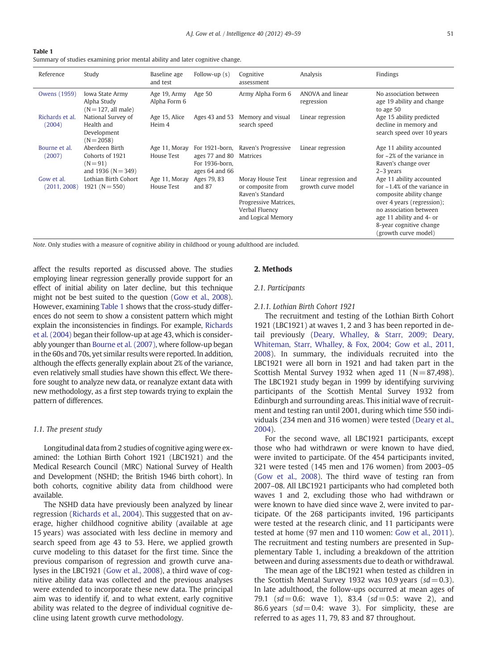<span id="page-2-0"></span>

| Table 1                                                                       |  |  |  |
|-------------------------------------------------------------------------------|--|--|--|
| Summary of studies examining prior mental ability and later cognitive change. |  |  |  |

| Reference                  | Study                                                                     | Baseline age<br>and test     | Follow-up $(s)$                                                      | Cognitive<br>assessment                                                                                                    | Analysis                                    | Findings                                                                                                                                                                                                                             |
|----------------------------|---------------------------------------------------------------------------|------------------------------|----------------------------------------------------------------------|----------------------------------------------------------------------------------------------------------------------------|---------------------------------------------|--------------------------------------------------------------------------------------------------------------------------------------------------------------------------------------------------------------------------------------|
| Owens (1959)               | Iowa State Army<br>Alpha Study<br>$(N = 127, all male)$                   | Age 19, Army<br>Alpha Form 6 | Age 50                                                               | Army Alpha Form 6                                                                                                          | ANOVA and linear<br>regression              | No association between<br>age 19 ability and change<br>to age 50                                                                                                                                                                     |
| Richards et al.<br>(2004)  | National Survey of<br>Health and<br>Development<br>$(N = 2058)$           | Age 15, Alice<br>Heim 4      | Ages 43 and 53                                                       | Memory and visual<br>search speed                                                                                          | Linear regression                           | Age 15 ability predicted<br>decline in memory and<br>search speed over 10 years                                                                                                                                                      |
| Bourne et al.<br>(2007)    | Aberdeen Birth<br>Cohorts of 1921<br>$(N = 91)$<br>and 1936 ( $N = 349$ ) | Age 11, Moray<br>House Test  | For 1921-born,<br>ages 77 and 80<br>For 1936-born.<br>ages 64 and 66 | Raven's Progressive<br>Matrices                                                                                            | Linear regression                           | Age 11 ability accounted<br>for $\sim$ 2% of the variance in<br>Raven's change over<br>$2-3$ years                                                                                                                                   |
| Gow et al.<br>(2011, 2008) | Lothian Birth Cohort<br>$1921(N=550)$                                     | Age 11, Moray<br>House Test  | Ages 79, 83<br>and $87$                                              | Moray House Test<br>or composite from<br>Raven's Standard<br>Progressive Matrices,<br>Verbal Fluency<br>and Logical Memory | Linear regression and<br>growth curve model | Age 11 ability accounted<br>for $\approx$ 1.4% of the variance in<br>composite ability change<br>over 4 years (regression);<br>no association between<br>age 11 ability and 4- or<br>8-year cognitive change<br>(growth curve model) |

Note. Only studies with a measure of cognitive ability in childhood or young adulthood are included.

affect the results reported as discussed above. The studies employing linear regression generally provide support for an effect of initial ability on later decline, but this technique might not be best suited to the question ([Gow et al., 2008\)](#page-10-0). However, examining Table 1 shows that the cross-study differences do not seem to show a consistent pattern which might explain the inconsistencies in findings. For example, [Richards](#page-10-0) [et al. \(2004\)](#page-10-0) began their follow-up at age 43, which is considerably younger than [Bourne et al. \(2007\)](#page-9-0), where follow-up began in the 60s and 70s, yet similar results were reported. In addition, although the effects generally explain about 2% of the variance, even relatively small studies have shown this effect. We therefore sought to analyze new data, or reanalyze extant data with new methodology, as a first step towards trying to explain the pattern of differences.

#### 1.1. The present study

Longitudinal data from 2 studies of cognitive aging were examined: the Lothian Birth Cohort 1921 (LBC1921) and the Medical Research Council (MRC) National Survey of Health and Development (NSHD; the British 1946 birth cohort). In both cohorts, cognitive ability data from childhood were available.

The NSHD data have previously been analyzed by linear regression [\(Richards et al., 2004](#page-10-0)). This suggested that on average, higher childhood cognitive ability (available at age 15 years) was associated with less decline in memory and search speed from age 43 to 53. Here, we applied growth curve modeling to this dataset for the first time. Since the previous comparison of regression and growth curve analyses in the LBC1921 ([Gow et al., 2008\)](#page-10-0), a third wave of cognitive ability data was collected and the previous analyses were extended to incorporate these new data. The principal aim was to identify if, and to what extent, early cognitive ability was related to the degree of individual cognitive decline using latent growth curve methodology.

#### 2. Methods

# 2.1. Participants

#### 2.1.1. Lothian Birth Cohort 1921

The recruitment and testing of the Lothian Birth Cohort 1921 (LBC1921) at waves 1, 2 and 3 has been reported in detail previously ([Deary, Whalley, & Starr, 2009; Deary,](#page-9-0) [Whiteman, Starr, Whalley, & Fox, 2004; Gow et al., 2011,](#page-9-0) [2008](#page-9-0)). In summary, the individuals recruited into the LBC1921 were all born in 1921 and had taken part in the Scottish Mental Survey 1932 when aged 11  $(N= 87,498)$ . The LBC1921 study began in 1999 by identifying surviving participants of the Scottish Mental Survey 1932 from Edinburgh and surrounding areas. This initial wave of recruitment and testing ran until 2001, during which time 550 individuals (234 men and 316 women) were tested [\(Deary et al.,](#page-10-0) [2004](#page-10-0)).

For the second wave, all LBC1921 participants, except those who had withdrawn or were known to have died, were invited to participate. Of the 454 participants invited, 321 were tested (145 men and 176 women) from 2003–05 ([Gow et al., 2008](#page-10-0)). The third wave of testing ran from 2007–08. All LBC1921 participants who had completed both waves 1 and 2, excluding those who had withdrawn or were known to have died since wave 2, were invited to participate. Of the 268 participants invited, 196 participants were tested at the research clinic, and 11 participants were tested at home (97 men and 110 women: [Gow et al., 2011\)](#page-10-0). The recruitment and testing numbers are presented in Supplementary Table 1, including a breakdown of the attrition between and during assessments due to death or withdrawal.

The mean age of the LBC1921 when tested as children in the Scottish Mental Survey 1932 was 10.9 years  $sd = 0.3$ ). In late adulthood, the follow-ups occurred at mean ages of 79.1  $sd = 0.6$ : wave 1), 83.4  $sd = 0.5$ : wave 2), and 86.6 years ( $sd = 0.4$ : wave 3). For simplicity, these are referred to as ages 11, 79, 83 and 87 throughout.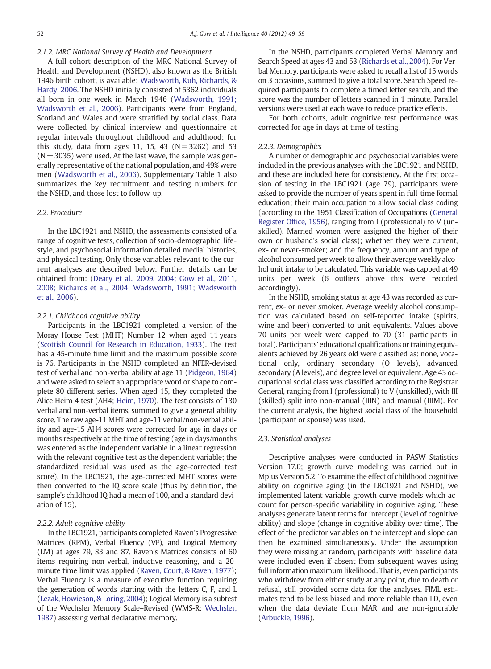#### 2.1.2. MRC National Survey of Health and Development

A full cohort description of the MRC National Survey of Health and Development (NSHD), also known as the British 1946 birth cohort, is available: [Wadsworth, Kuh, Richards, &](#page-10-0) [Hardy, 2006](#page-10-0). The NSHD initially consisted of 5362 individuals all born in one week in March 1946 ([Wadsworth, 1991;](#page-10-0) [Wadsworth et al., 2006](#page-10-0)). Participants were from England, Scotland and Wales and were stratified by social class. Data were collected by clinical interview and questionnaire at regular intervals throughout childhood and adulthood; for this study, data from ages 11, 15, 43  $(N= 3262)$  and 53  $(N= 3035)$  were used. At the last wave, the sample was generally representative of the national population, and 49% were men [\(Wadsworth et al., 2006](#page-10-0)). Supplementary Table 1 also summarizes the key recruitment and testing numbers for the NSHD, and those lost to follow-up.

### 2.2. Procedure

In the LBC1921 and NSHD, the assessments consisted of a range of cognitive tests, collection of socio-demographic, lifestyle, and psychosocial information detailed medial histories, and physical testing. Only those variables relevant to the current analyses are described below. Further details can be obtained from: [\(Deary et al., 2009, 2004; Gow et al., 2011,](#page-9-0) [2008; Richards et al., 2004; Wadsworth, 1991; Wadsworth](#page-9-0) [et al., 2006](#page-9-0)).

#### 2.2.1. Childhood cognitive ability

Participants in the LBC1921 completed a version of the Moray House Test (MHT) Number 12 when aged 11 years ([Scottish Council for Research in Education, 1933\)](#page-10-0). The test has a 45-minute time limit and the maximum possible score is 76. Participants in the NSHD completed an NFER-devised test of verbal and non-verbal ability at age 11 ([Pidgeon, 1964\)](#page-10-0) and were asked to select an appropriate word or shape to complete 80 different series. When aged 15, they completed the Alice Heim 4 test (AH4; [Heim, 1970](#page-10-0)). The test consists of 130 verbal and non-verbal items, summed to give a general ability score. The raw age-11 MHT and age-11 verbal/non-verbal ability and age-15 AH4 scores were corrected for age in days or months respectively at the time of testing (age in days/months was entered as the independent variable in a linear regression with the relevant cognitive test as the dependent variable; the standardized residual was used as the age-corrected test score). In the LBC1921, the age-corrected MHT scores were then converted to the IQ score scale (thus by definition, the sample's childhood IQ had a mean of 100, and a standard deviation of 15).

#### 2.2.2. Adult cognitive ability

In the LBC1921, participants completed Raven's Progressive Matrices (RPM), Verbal Fluency (VF), and Logical Memory (LM) at ages 79, 83 and 87. Raven's Matrices consists of 60 items requiring non-verbal, inductive reasoning, and a 20 minute time limit was applied [\(Raven, Court, & Raven, 1977](#page-10-0)); Verbal Fluency is a measure of executive function requiring the generation of words starting with the letters C, F, and L ([Lezak, Howieson, & Loring, 2004\)](#page-10-0); Logical Memory is a subtest of the Wechsler Memory Scale–Revised (WMS-R: [Wechsler,](#page-10-0) [1987](#page-10-0)) assessing verbal declarative memory.

In the NSHD, participants completed Verbal Memory and Search Speed at ages 43 and 53 [\(Richards et al., 2004\)](#page-10-0). For Verbal Memory, participants were asked to recall a list of 15 words on 3 occasions, summed to give a total score. Search Speed required participants to complete a timed letter search, and the score was the number of letters scanned in 1 minute. Parallel versions were used at each wave to reduce practice effects.

For both cohorts, adult cognitive test performance was corrected for age in days at time of testing.

#### 2.2.3. Demographics

A number of demographic and psychosocial variables were included in the previous analyses with the LBC1921 and NSHD, and these are included here for consistency. At the first occasion of testing in the LBC1921 (age 79), participants were asked to provide the number of years spent in full-time formal education; their main occupation to allow social class coding (according to the 1951 Classification of Occupations ([General](#page-10-0) [Register Office, 1956\)](#page-10-0), ranging from I (professional) to V (unskilled). Married women were assigned the higher of their own or husband's social class); whether they were current, ex- or never-smoker; and the frequency, amount and type of alcohol consumed per week to allow their average weekly alcohol unit intake to be calculated. This variable was capped at 49 units per week (6 outliers above this were recoded accordingly).

In the NSHD, smoking status at age 43 was recorded as current, ex- or never smoker. Average weekly alcohol consumption was calculated based on self-reported intake (spirits, wine and beer) converted to unit equivalents. Values above 70 units per week were capped to 70 (31 participants in total). Participants' educational qualifications or training equivalents achieved by 26 years old were classified as: none, vocational only, ordinary secondary (O levels), advanced secondary (A levels), and degree level or equivalent. Age 43 occupational social class was classified according to the Registrar General, ranging from I (professional) to V (unskilled), with III (skilled) split into non-manual (IIIN) and manual (IIIM). For the current analysis, the highest social class of the household (participant or spouse) was used.

#### 2.3. Statistical analyses

Descriptive analyses were conducted in PASW Statistics Version 17.0; growth curve modeling was carried out in Mplus Version 5.2. To examine the effect of childhood cognitive ability on cognitive aging (in the LBC1921 and NSHD), we implemented latent variable growth curve models which account for person-specific variability in cognitive aging. These analyses generate latent terms for intercept (level of cognitive ability) and slope (change in cognitive ability over time). The effect of the predictor variables on the intercept and slope can then be examined simultaneously. Under the assumption they were missing at random, participants with baseline data were included even if absent from subsequent waves using full information maximum likelihood. That is, even participants who withdrew from either study at any point, due to death or refusal, still provided some data for the analyses. FIML estimates tend to be less biased and more reliable than LD, even when the data deviate from MAR and are non-ignorable ([Arbuckle, 1996](#page-9-0)).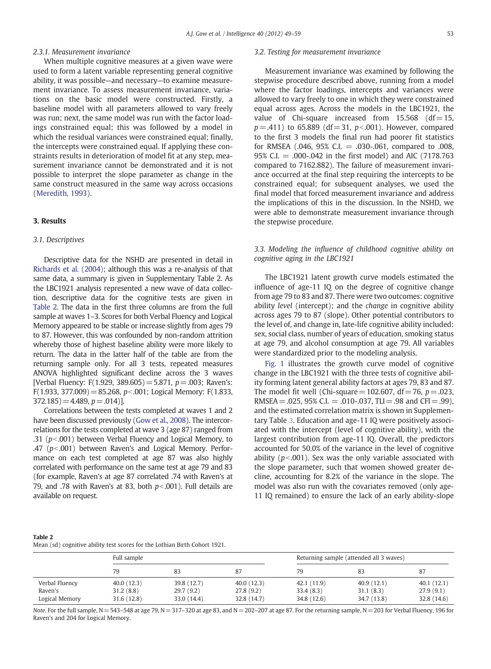# 2.3.1. Measurement invariance

When multiple cognitive measures at a given wave were used to form a latent variable representing general cognitive ability, it was possible—and necessary—to examine measurement invariance. To assess measurement invariance, variations on the basic model were constructed. Firstly, a baseline model with all parameters allowed to vary freely was run; next, the same model was run with the factor loadings constrained equal; this was followed by a model in which the residual variances were constrained equal; finally, the intercepts were constrained equal. If applying these constraints results in deterioration of model fit at any step, measurement invariance cannot be demonstrated and it is not possible to interpret the slope parameter as change in the same construct measured in the same way across occasions [\(Meredith, 1993](#page-10-0)).

# 3. Results

#### 3.1. Descriptives

Descriptive data for the NSHD are presented in detail in [Richards et al. \(2004\)](#page-10-0); although this was a re-analysis of that same data, a summary is given in Supplementary Table 2. As the LBC1921 analysis represented a new wave of data collection, descriptive data for the cognitive tests are given in Table 2. The data in the first three columns are from the full sample at waves 1–3. Scores for both Verbal Fluency and Logical Memory appeared to be stable or increase slightly from ages 79 to 87. However, this was confounded by non-random attrition whereby those of highest baseline ability were more likely to return. The data in the latter half of the table are from the returning sample only. For all 3 tests, repeated measures ANOVA highlighted significant decline across the 3 waves [Verbal Fluency: F(1.929, 389.605) = 5.871,  $p = .003$ ; Raven's: F(1.933, 377.009) = 85.268,  $p<0.001$ ; Logical Memory: F(1.833,  $372.185$  = 4.489,  $p = .014$ )

Correlations between the tests completed at waves 1 and 2 have been discussed previously ([Gow et al., 2008\)](#page-10-0). The intercorrelations for the tests completed at wave 3 (age 87) ranged from .31 ( $p$ <.001) between Verbal Fluency and Logical Memory, to .47 ( $p$ <.001) between Raven's and Logical Memory. Performance on each test completed at age 87 was also highly correlated with performance on the same test at age 79 and 83 (for example, Raven's at age 87 correlated .74 with Raven's at 79, and .78 with Raven's at 83, both  $p<0.001$ ). Full details are available on request.

#### 3.2. Testing for measurement invariance

Measurement invariance was examined by following the stepwise procedure described above, running from a model where the factor loadings, intercepts and variances were allowed to vary freely to one in which they were constrained equal across ages. Across the models in the LBC1921, the value of Chi-square increased from  $15.568$  (df  $= 15$ ,  $p = .411$ ) to 65.889 (df = 31,  $p < .001$ ). However, compared to the first 3 models the final run had poorer fit statistics for RMSEA  $(.046, 95\% C.I. = .030-.061,$  compared to  $.008$ . 95% C.I. = .000-.042 in the first model) and AIC (7178.763 compared to 7162.882). The failure of measurement invariance occurred at the final step requiring the intercepts to be constrained equal; for subsequent analyses, we used the final model that forced measurement invariance and address the implications of this in the discussion. In the NSHD, we were able to demonstrate measurement invariance through the stepwise procedure.

# 3.3. Modeling the influence of childhood cognitive ability on cognitive aging in the LBC1921

The LBC1921 latent growth curve models estimated the influence of age-11 IQ on the degree of cognitive change from age 79 to 83 and 87. There were two outcomes: cognitive ability *level* (intercept); and the *change* in cognitive ability across ages 79 to 87 (slope). Other potential contributors to the level of, and change in, late-life cognitive ability included: sex, social class, number of years of education, smoking status at age 79, and alcohol consumption at age 79. All variables were standardized prior to the modeling analysis.

[Fig. 1](#page-5-0) illustrates the growth curve model of cognitive change in the LBC1921 with the three tests of cognitive ability forming latent general ability factors at ages 79, 83 and 87. The model fit well (Chi-square = 102.607,  $df = 76$ ,  $p = .023$ , RMSEA =  $.025, 95\%$  C.I. =  $.010-037$ . TLI =  $.98$  and CFI =  $.99$ ). and the estimated correlation matrix is shown in Supplementary Table 3. Education and age-11 IQ were positively associated with the intercept (level of cognitive ability), with the largest contribution from age-11 IQ. Overall, the predictors accounted for 50.0% of the variance in the level of cognitive ability ( $p<0.001$ ). Sex was the only variable associated with the slope parameter, such that women showed greater decline, accounting for 8.2% of the variance in the slope. The model was also run with the covariates removed (only age-11 IQ remained) to ensure the lack of an early ability-slope

| Table 2 |                                                                            |  |  |
|---------|----------------------------------------------------------------------------|--|--|
|         | Mean (sd) cognitive ability test scores for the Lothian Birth Cohort 1921. |  |  |

|                           | Full sample              |                          |                          | Returning sample (attended all 3 waves) |                          |                          |  |
|---------------------------|--------------------------|--------------------------|--------------------------|-----------------------------------------|--------------------------|--------------------------|--|
|                           | 79                       |                          | 87                       | 79                                      | 83                       | 87                       |  |
| Verbal Fluency            | 40.0(12.3)               | 39.8 (12.7)              | 40.0(12.3)               | 42.1 (11.9)                             | 40.9(12.1)               | 40.1(12.1)               |  |
| Raven's<br>Logical Memory | 31.2(8.8)<br>31.6 (12.8) | 29.7(9.2)<br>33.0 (14.4) | 27.8(9.2)<br>32.8 (14.7) | 33.4(8.3)<br>34.8 (12.6)                | 31.1(8.3)<br>34.7 (13.8) | 27.9(9.1)<br>32.8 (14.6) |  |

Note. For the full sample, N = 543-548 at age 79, N = 317-320 at age 83, and N = 202-207 at age 87. For the returning sample, N = 203 for Verbal Fluency, 196 for Raven's and 204 for Logical Memory.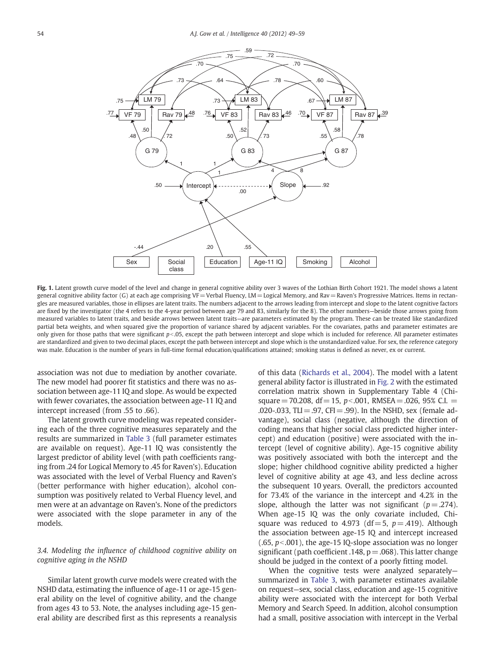<span id="page-5-0"></span>

Fig. 1. Latent growth curve model of the level and change in general cognitive ability over 3 waves of the Lothian Birth Cohort 1921. The model shows a latent general cognitive ability factor (G) at each age comprising VF=Verbal Fluency, LM=Logical Memory, and Rav=Raven's Progressive Matrices. Items in rectangles are measured variables, those in ellipses are latent traits. The numbers adjacent to the arrows leading from intercept and slope to the latent cognitive factors are fixed by the investigator (the 4 refers to the 4-year period between age 79 and 83, similarly for the 8). The other numbers—beside those arrows going from measured variables to latent traits, and beside arrows between latent traits—are parameters estimated by the program. These can be treated like standardized partial beta weights, and when squared give the proportion of variance shared by adjacent variables. For the covariates, paths and parameter estimates are only given for those paths that were significant  $p<0.05$ , except the path between intercept and slope which is included for reference. All parameter estimates are standardized and given to two decimal places, except the path between intercept and slope which is the unstandardized value. For sex, the reference category was male. Education is the number of years in full-time formal education/qualifications attained; smoking status is defined as never, ex or current.

association was not due to mediation by another covariate. The new model had poorer fit statistics and there was no association between age-11 IQ and slope. As would be expected with fewer covariates, the association between age-11 IQ and intercept increased (from .55 to .66).

The latent growth curve modeling was repeated considering each of the three cognitive measures separately and the results are summarized in [Table 3](#page-6-0) (full parameter estimates are available on request). Age-11 IQ was consistently the largest predictor of ability level (with path coefficients ranging from .24 for Logical Memory to .45 for Raven's). Education was associated with the level of Verbal Fluency and Raven's (better performance with higher education), alcohol consumption was positively related to Verbal Fluency level, and men were at an advantage on Raven's. None of the predictors were associated with the slope parameter in any of the models.

### 3.4. Modeling the influence of childhood cognitive ability on cognitive aging in the NSHD

Similar latent growth curve models were created with the NSHD data, estimating the influence of age-11 or age-15 general ability on the level of cognitive ability, and the change from ages 43 to 53. Note, the analyses including age-15 general ability are described first as this represents a reanalysis

of this data ([Richards et al., 2004\)](#page-10-0). The model with a latent general ability factor is illustrated in [Fig. 2](#page-7-0) with the estimated correlation matrix shown in Supplementary Table 4 (Chisquare = 70.208, df = 15,  $p<0.01$ , RMSEA = .026, 95% C.I. = .020-.033, TLI = .97, CFI = .99). In the NSHD, sex (female advantage), social class (negative, although the direction of coding means that higher social class predicted higher intercept) and education (positive) were associated with the intercept (level of cognitive ability). Age-15 cognitive ability was positively associated with both the intercept and the slope; higher childhood cognitive ability predicted a higher level of cognitive ability at age 43, and less decline across the subsequent 10 years. Overall, the predictors accounted for 73.4% of the variance in the intercept and 4.2% in the slope, although the latter was not significant ( $p = .274$ ). When age-15 IQ was the only covariate included, Chisquare was reduced to 4.973 (df = 5,  $p = .419$ ). Although the association between age-15 IQ and intercept increased  $(.65, p<.001)$ , the age-15 IQ-slope association was no longer significant (path coefficient .148,  $p = .068$ ). This latter change should be judged in the context of a poorly fitting model.

When the cognitive tests were analyzed separatelysummarized in [Table 3,](#page-6-0) with parameter estimates available on request—sex, social class, education and age-15 cognitive ability were associated with the intercept for both Verbal Memory and Search Speed. In addition, alcohol consumption had a small, positive association with intercept in the Verbal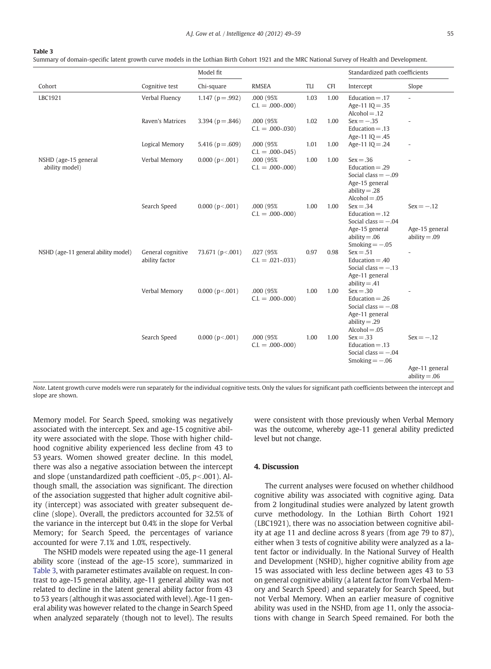#### <span id="page-6-0"></span>Table 3

Summary of domain-specific latent growth curve models in the Lothian Birth Cohort 1921 and the MRC National Survey of Health and Development.

|                                        |                                     | Model fit              |                                  |      | Standardized path coefficients |                                                                                                                    |                                                   |
|----------------------------------------|-------------------------------------|------------------------|----------------------------------|------|--------------------------------|--------------------------------------------------------------------------------------------------------------------|---------------------------------------------------|
| Cohort                                 | Cognitive test                      | Chi-square             | <b>RMSEA</b>                     | TLI  | <b>CFI</b>                     | Intercept                                                                                                          | Slope                                             |
| LBC1921                                | Verbal Fluency                      | 1.147 ( $p = .992$ )   | .000 (95%)<br>$C.I. = .000-.000$ | 1.03 | 1.00                           | Education $= .17$<br>Age-11 $IO = .35$<br>$Alcohol = .12$                                                          | $\overline{a}$                                    |
|                                        | Raven's Matrices                    | 3.394 ( $p = .846$ )   | .000 (95%<br>$C.I. = .000-.030$  | 1.02 | 1.00                           | $Sex = -.35$<br>Education $=$ .13<br>Age-11 IQ=.45                                                                 |                                                   |
|                                        | Logical Memory                      | 5.416 ( $p = .609$ )   | .000 (95%)<br>$C.I. = .000-.045$ | 1.01 | 1.00                           | Age-11 IQ = .24                                                                                                    | $\overline{\phantom{a}}$                          |
| NSHD (age-15 general<br>ability model) | Verbal Memory                       | 0.000 (p< .001)        | .000 (95%<br>$C.I. = .000-.000$  | 1.00 | 1.00                           | $Sex = .36$<br>Education $= .29$<br>Social class $= -.09$<br>Age-15 general<br>$ability = .28$<br>$Alcohol = .05$  |                                                   |
|                                        | Search Speed                        | 0.000 (p< .001)        | .000 (95%<br>$C.I. = .000-.000$  | 1.00 | 1.00                           | $Sex = .34$<br>Education $= .12$<br>Social class $= -0.04$<br>Age-15 general<br>$ability = .06$<br>Smoking $=-.05$ | $Sex = -.12$<br>Age-15 general<br>$ability = .09$ |
| NSHD (age-11 general ability model)    | General cognitive<br>ability factor | 73.671 (p <.001)       | .027 (95%<br>$C.I. = .021-.033$  | 0.97 | 0.98                           | $Sex = .51$<br>Education $= .40$<br>Social class $= -0.13$<br>Age-11 general<br>$ability = .41$                    |                                                   |
|                                        | Verbal Memory                       | $0.000$ ( $p < .001$ ) | .000 (95%)<br>$C.I. = .000-.000$ | 1.00 | 1.00                           | $Sex = .30$<br>Education $= .26$<br>Social class $= -0.08$<br>Age-11 general<br>$ability = .29$<br>$Alcohol = .05$ |                                                   |
|                                        | Search Speed                        | $0.000$ ( $p<0.001$ )  | .000 (95%)<br>$C.I. = .000-.000$ | 1.00 | 1.00                           | $Sex = .33$<br>Education $= .13$<br>Social class $= -0.04$<br>Smoking $=-.06$                                      | $Sex = -.12$<br>Age-11 general                    |
|                                        |                                     |                        |                                  |      |                                |                                                                                                                    | $ability = .06$                                   |

Note. Latent growth curve models were run separately for the individual cognitive tests. Only the values for significant path coefficients between the intercept and slope are shown.

Memory model. For Search Speed, smoking was negatively associated with the intercept. Sex and age-15 cognitive ability were associated with the slope. Those with higher childhood cognitive ability experienced less decline from 43 to 53 years. Women showed greater decline. In this model, there was also a negative association between the intercept and slope (unstandardized path coefficient -.05,  $p<$ .001). Although small, the association was significant. The direction of the association suggested that higher adult cognitive ability (intercept) was associated with greater subsequent decline (slope). Overall, the predictors accounted for 32.5% of the variance in the intercept but 0.4% in the slope for Verbal Memory; for Search Speed, the percentages of variance accounted for were 7.1% and 1.0%, respectively.

The NSHD models were repeated using the age-11 general ability score (instead of the age-15 score), summarized in Table 3, with parameter estimates available on request. In contrast to age-15 general ability, age-11 general ability was not related to decline in the latent general ability factor from 43 to 53 years (although it was associated with level). Age-11 general ability was however related to the change in Search Speed when analyzed separately (though not to level). The results were consistent with those previously when Verbal Memory was the outcome, whereby age-11 general ability predicted level but not change.

# 4. Discussion

The current analyses were focused on whether childhood cognitive ability was associated with cognitive aging. Data from 2 longitudinal studies were analyzed by latent growth curve methodology. In the Lothian Birth Cohort 1921 (LBC1921), there was no association between cognitive ability at age 11 and decline across 8 years (from age 79 to 87), either when 3 tests of cognitive ability were analyzed as a latent factor or individually. In the National Survey of Health and Development (NSHD), higher cognitive ability from age 15 was associated with less decline between ages 43 to 53 on general cognitive ability (a latent factor from Verbal Memory and Search Speed) and separately for Search Speed, but not Verbal Memory. When an earlier measure of cognitive ability was used in the NSHD, from age 11, only the associations with change in Search Speed remained. For both the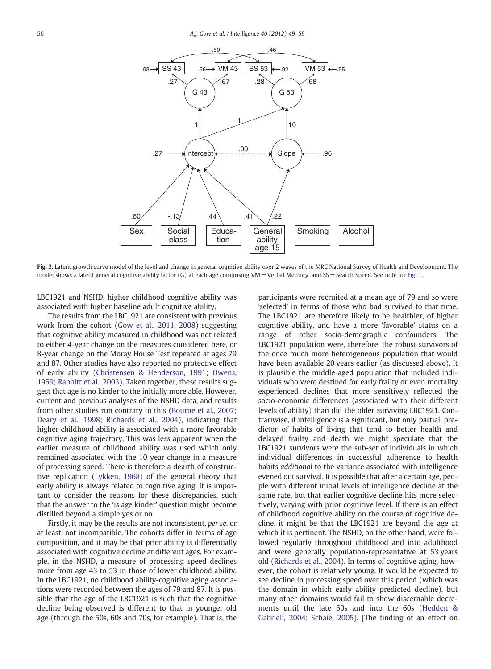<span id="page-7-0"></span>

Fig. 2. Latent growth curve model of the level and change in general cognitive ability over 2 waves of the MRC National Survey of Health and Development. The model shows a latent general cognitive ability factor (G) at each age comprising VM = Verbal Memory, and SS = Search Speed. See note for [Fig. 1](#page-5-0).

LBC1921 and NSHD, higher childhood cognitive ability was associated with higher baseline adult cognitive ability.

The results from the LBC1921 are consistent with previous work from the cohort ([Gow et al., 2011, 2008\)](#page-10-0) suggesting that cognitive ability measured in childhood was not related to either 4-year change on the measures considered here, or 8-year change on the Moray House Test repeated at ages 79 and 87. Other studies have also reported no protective effect of early ability ([Christensen & Henderson, 1991; Owens,](#page-9-0) [1959; Rabbitt et al., 2003](#page-9-0)). Taken together, these results suggest that age is no kinder to the initially more able. However, current and previous analyses of the NSHD data, and results from other studies run contrary to this [\(Bourne et al., 2007;](#page-9-0) [Deary et al., 1998; Richards et al., 2004](#page-9-0)), indicating that higher childhood ability is associated with a more favorable cognitive aging trajectory. This was less apparent when the earlier measure of childhood ability was used which only remained associated with the 10-year change in a measure of processing speed. There is therefore a dearth of constructive replication [\(Lykken, 1968](#page-10-0)) of the general theory that early ability is always related to cognitive aging. It is important to consider the reasons for these discrepancies, such that the answer to the 'is age kinder' question might become distilled beyond a simple yes or no.

Firstly, it may be the results are not inconsistent, per se, or at least, not incompatible. The cohorts differ in terms of age composition, and it may be that prior ability is differentially associated with cognitive decline at different ages. For example, in the NSHD, a measure of processing speed declines more from age 43 to 53 in those of lower childhood ability. In the LBC1921, no childhood ability-cognitive aging associations were recorded between the ages of 79 and 87. It is possible that the age of the LBC1921 is such that the cognitive decline being observed is different to that in younger old age (through the 50s, 60s and 70s, for example). That is, the

participants were recruited at a mean age of 79 and so were 'selected' in terms of those who had survived to that time. The LBC1921 are therefore likely to be healthier, of higher cognitive ability, and have a more 'favorable' status on a range of other socio-demographic confounders. The LBC1921 population were, therefore, the robust survivors of the once much more heterogeneous population that would have been available 20 years earlier (as discussed above). It is plausible the middle-aged population that included individuals who were destined for early frailty or even mortality experienced declines that more sensitively reflected the socio-economic differences (associated with their different levels of ability) than did the older surviving LBC1921. Contrariwise, if intelligence is a significant, but only partial, predictor of habits of living that tend to better health and delayed frailty and death we might speculate that the LBC1921 survivors were the sub-set of individuals in which individual differences in successful adherence to health habits additional to the variance associated with intelligence evened out survival. It is possible that after a certain age, people with different initial levels of intelligence decline at the same rate, but that earlier cognitive decline hits more selectively, varying with prior cognitive level. If there is an effect of childhood cognitive ability on the course of cognitive decline, it might be that the LBC1921 are beyond the age at which it is pertinent. The NSHD, on the other hand, were followed regularly throughout childhood and into adulthood and were generally population-representative at 53 years old ([Richards et al., 2004\)](#page-10-0). In terms of cognitive aging, however, the cohort is relatively young. It would be expected to see decline in processing speed over this period (which was the domain in which early ability predicted decline), but many other domains would fail to show discernable decrements until the late 50s and into the 60s [\(Hedden &](#page-10-0) [Gabrieli, 2004; Schaie, 2005](#page-10-0)). [The finding of an effect on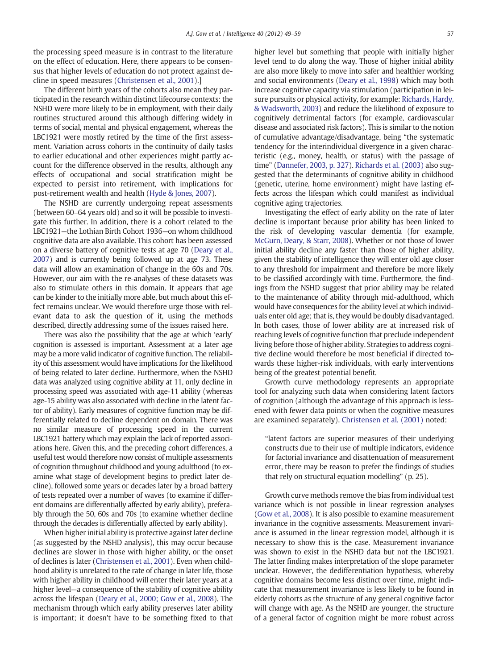the processing speed measure is in contrast to the literature on the effect of education. Here, there appears to be consensus that higher levels of education do not protect against decline in speed measures [\(Christensen et al., 2001](#page-9-0)).]

The different birth years of the cohorts also mean they participated in the research within distinct lifecourse contexts: the NSHD were more likely to be in employment, with their daily routines structured around this although differing widely in terms of social, mental and physical engagement, whereas the LBC1921 were mostly retired by the time of the first assessment. Variation across cohorts in the continuity of daily tasks to earlier educational and other experiences might partly account for the difference observed in the results, although any effects of occupational and social stratification might be expected to persist into retirement, with implications for post-retirement wealth and health ([Hyde & Jones, 2007\)](#page-10-0).

The NSHD are currently undergoing repeat assessments (between 60–64 years old) and so it will be possible to investigate this further. In addition, there is a cohort related to the LBC1921—the Lothian Birth Cohort 1936—on whom childhood cognitive data are also available. This cohort has been assessed on a diverse battery of cognitive tests at age 70 [\(Deary et al.,](#page-9-0) [2007\)](#page-9-0) and is currently being followed up at age 73. These data will allow an examination of change in the 60s and 70s. However, our aim with the re-analyses of these datasets was also to stimulate others in this domain. It appears that age can be kinder to the initially more able, but much about this effect remains unclear. We would therefore urge those with relevant data to ask the question of it, using the methods described, directly addressing some of the issues raised here.

There was also the possibility that the age at which 'early' cognition is assessed is important. Assessment at a later age may be a more valid indicator of cognitive function. The reliability of this assessment would have implications for the likelihood of being related to later decline. Furthermore, when the NSHD data was analyzed using cognitive ability at 11, only decline in processing speed was associated with age-11 ability (whereas age-15 ability was also associated with decline in the latent factor of ability). Early measures of cognitive function may be differentially related to decline dependent on domain. There was no similar measure of processing speed in the current LBC1921 battery which may explain the lack of reported associations here. Given this, and the preceding cohort differences, a useful test would therefore now consist of multiple assessments of cognition throughout childhood and young adulthood (to examine what stage of development begins to predict later decline), followed some years or decades later by a broad battery of tests repeated over a number of waves (to examine if different domains are differentially affected by early ability), preferably through the 50, 60s and 70s (to examine whether decline through the decades is differentially affected by early ability).

When higher initial ability is protective against later decline (as suggested by the NSHD analysis), this may occur because declines are slower in those with higher ability, or the onset of declines is later [\(Christensen et al., 2001\)](#page-9-0). Even when childhood ability is unrelated to the rate of change in later life, those with higher ability in childhood will enter their later years at a higher level—a consequence of the stability of cognitive ability across the lifespan [\(Deary et al., 2000; Gow et al., 2008](#page-9-0)). The mechanism through which early ability preserves later ability is important; it doesn't have to be something fixed to that

higher level but something that people with initially higher level tend to do along the way. Those of higher initial ability are also more likely to move into safer and healthier working and social environments ([Deary et al., 1998](#page-9-0)) which may both increase cognitive capacity via stimulation (participation in leisure pursuits or physical activity, for example: [Richards, Hardy,](#page-10-0) [& Wadsworth, 2003](#page-10-0)) and reduce the likelihood of exposure to cognitively detrimental factors (for example, cardiovascular disease and associated risk factors). This is similar to the notion of cumulative advantage/disadvantage, being "the systematic tendency for the interindividual divergence in a given characteristic (e.g., money, health, or status) with the passage of time" [\(Dannefer, 2003, p. 327\)](#page-9-0). [Richards et al. \(2003\)](#page-10-0) also suggested that the determinants of cognitive ability in childhood (genetic, uterine, home environment) might have lasting effects across the lifespan which could manifest as individual cognitive aging trajectories.

Investigating the effect of early ability on the rate of later decline is important because prior ability has been linked to the risk of developing vascular dementia (for example, [McGurn, Deary, & Starr, 2008](#page-10-0)). Whether or not those of lower initial ability decline any faster than those of higher ability, given the stability of intelligence they will enter old age closer to any threshold for impairment and therefore be more likely to be classified accordingly with time. Furthermore, the findings from the NSHD suggest that prior ability may be related to the maintenance of ability through mid-adulthood, which would have consequences for the ability level at which individuals enter old age; that is, they would be doubly disadvantaged. In both cases, those of lower ability are at increased risk of reaching levels of cognitive function that preclude independent living before those of higher ability. Strategies to address cognitive decline would therefore be most beneficial if directed towards these higher-risk individuals, with early interventions being of the greatest potential benefit.

Growth curve methodology represents an appropriate tool for analyzing such data when considering latent factors of cognition (although the advantage of this approach is lessened with fewer data points or when the cognitive measures are examined separately). [Christensen et al. \(2001\)](#page-9-0) noted:

"latent factors are superior measures of their underlying constructs due to their use of multiple indicators, evidence for factorial invariance and disattenuation of measurement error, there may be reason to prefer the findings of studies that rely on structural equation modelling" (p. 25).

Growth curve methods remove the bias from individual test variance which is not possible in linear regression analyses [\(Gow et al., 2008\)](#page-10-0). It is also possible to examine measurement invariance in the cognitive assessments. Measurement invariance is assumed in the linear regression model, although it is necessary to show this is the case. Measurement invariance was shown to exist in the NSHD data but not the LBC1921. The latter finding makes interpretation of the slope parameter unclear. However, the dedifferentiation hypothesis, whereby cognitive domains become less distinct over time, might indicate that measurement invariance is less likely to be found in elderly cohorts as the structure of any general cognitive factor will change with age. As the NSHD are younger, the structure of a general factor of cognition might be more robust across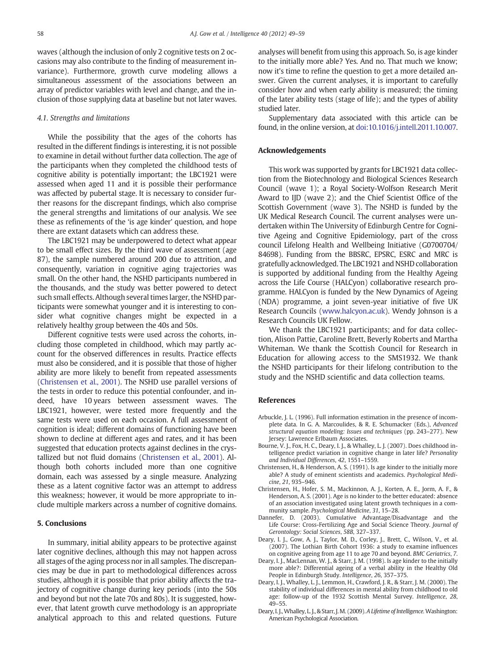<span id="page-9-0"></span>waves (although the inclusion of only 2 cognitive tests on 2 occasions may also contribute to the finding of measurement invariance). Furthermore, growth curve modeling allows a simultaneous assessment of the associations between an array of predictor variables with level and change, and the inclusion of those supplying data at baseline but not later waves.

# 4.1. Strengths and limitations

While the possibility that the ages of the cohorts has resulted in the different findings is interesting, it is not possible to examine in detail without further data collection. The age of the participants when they completed the childhood tests of cognitive ability is potentially important; the LBC1921 were assessed when aged 11 and it is possible their performance was affected by pubertal stage. It is necessary to consider further reasons for the discrepant findings, which also comprise the general strengths and limitations of our analysis. We see these as refinements of the 'is age kinder' question, and hope there are extant datasets which can address these.

The LBC1921 may be underpowered to detect what appear to be small effect sizes. By the third wave of assessment (age 87), the sample numbered around 200 due to attrition, and consequently, variation in cognitive aging trajectories was small. On the other hand, the NSHD participants numbered in the thousands, and the study was better powered to detect such small effects. Although several times larger, the NSHD participants were somewhat younger and it is interesting to consider what cognitive changes might be expected in a relatively healthy group between the 40s and 50s.

Different cognitive tests were used across the cohorts, including those completed in childhood, which may partly account for the observed differences in results. Practice effects must also be considered, and it is possible that those of higher ability are more likely to benefit from repeated assessments (Christensen et al., 2001). The NSHD use parallel versions of the tests in order to reduce this potential confounder, and indeed, have 10 years between assessment waves. The LBC1921, however, were tested more frequently and the same tests were used on each occasion. A full assessment of cognition is ideal; different domains of functioning have been shown to decline at different ages and rates, and it has been suggested that education protects against declines in the crystallized but not fluid domains (Christensen et al., 2001). Although both cohorts included more than one cognitive domain, each was assessed by a single measure. Analyzing these as a latent cognitive factor was an attempt to address this weakness; however, it would be more appropriate to include multiple markers across a number of cognitive domains.

### 5. Conclusions

In summary, initial ability appears to be protective against later cognitive declines, although this may not happen across all stages of the aging process nor in all samples. The discrepancies may be due in part to methodological differences across studies, although it is possible that prior ability affects the trajectory of cognitive change during key periods (into the 50s and beyond but not the late 70s and 80s). It is suggested, however, that latent growth curve methodology is an appropriate analytical approach to this and related questions. Future

analyses will benefit from using this approach. So, is age kinder to the initially more able? Yes. And no. That much we know; now it's time to refine the question to get a more detailed answer. Given the current analyses, it is important to carefully consider how and when early ability is measured; the timing of the later ability tests (stage of life); and the types of ability studied later.

Supplementary data associated with this article can be found, in the online version, at [doi:10.1016/j.intell.2011.10.007.](http://dx.doi.org/10.1016/j.intell.2011.10.007)

#### Acknowledgements

This work was supported by grants for LBC1921 data collection from the Biotechnology and Biological Sciences Research Council (wave 1); a Royal Society-Wolfson Research Merit Award to IJD (wave 2); and the Chief Scientist Office of the Scottish Government (wave 3). The NSHD is funded by the UK Medical Research Council. The current analyses were undertaken within The University of Edinburgh Centre for Cognitive Ageing and Cognitive Epidemiology, part of the cross council Lifelong Health and Wellbeing Initiative (G0700704/ 84698). Funding from the BBSRC, EPSRC, ESRC and MRC is gratefully acknowledged. The LBC1921 and NSHD collaboration is supported by additional funding from the Healthy Ageing across the Life Course (HALCyon) collaborative research programme. HALCyon is funded by the New Dynamics of Ageing (NDA) programme, a joint seven-year initiative of five UK Research Councils [\(www.halcyon.ac.uk\)](http://www.halcyon.ac.uk). Wendy Johnson is a Research Councils UK Fellow.

We thank the LBC1921 participants; and for data collection, Alison Pattie, Caroline Brett, Beverly Roberts and Martha Whiteman. We thank the Scottish Council for Research in Education for allowing access to the SMS1932. We thank the NSHD participants for their lifelong contribution to the study and the NSHD scientific and data collection teams.

#### **References**

- Arbuckle, J. L. (1996). Full information estimation in the presence of incomplete data. In G. A. Marcoulides, & R. E. Schumacker (Eds.), Advanced structural equation modeling: Issues and techniques (pp. 243–277). New Jersey: Lawrence Erlbaum Associates.
- Bourne, V. J., Fox, H. C., Deary, I. J., & Whalley, L. J. (2007). Does childhood intelligence predict variation in cognitive change in later life? Personality and Individual Differences, 42, 1551–1559.
- Christensen, H., & Henderson, A. S. (1991). Is age kinder to the initially more able? A study of eminent scientists and academics. Psychological Medicine, 21, 935–946.
- Christensen, H., Hofer, S. M., Mackinnon, A. J., Korten, A. E., Jorm, A. F., & Henderson, A. S. (2001). Age is no kinder to the better educated: absence of an association investigated using latent growth techniques in a community sample. Psychological Medicine, 31, 15–28.
- Dannefer, D. (2003). Cumulative Advantage/Disadvantage and the Life Course: Cross-Fertilizing Age and Social Science Theory. Journal of Gerontology: Social Sciences, 58B, 327–337.
- Deary, I. J., Gow, A. J., Taylor, M. D., Corley, J., Brett, C., Wilson, V., et al. (2007). The Lothian Birth Cohort 1936: a study to examine influences on cognitive ageing from age 11 to age 70 and beyond. BMC Geriatrics, 7.
- Deary, I. J., MacLennan, W. J., & Starr, J. M. (1998). Is age kinder to the initially more able?: Differential ageing of a verbal ability in the Healthy Old People in Edinburgh Study. Intelligence, 26, 357–375.
- Deary, I. J., Whalley, L. J., Lemmon, H., Crawford, J. R., & Starr, J. M. (2000). The stability of individual differences in mental ability from childhood to old age: follow-up of the 1932 Scottish Mental Survey. Intelligence, 28, 49–55.
- Deary, I. J., Whalley, L. J., & Starr, J. M. (2009). A Lifetime of Intelligence. Washington: American Psychological Association.